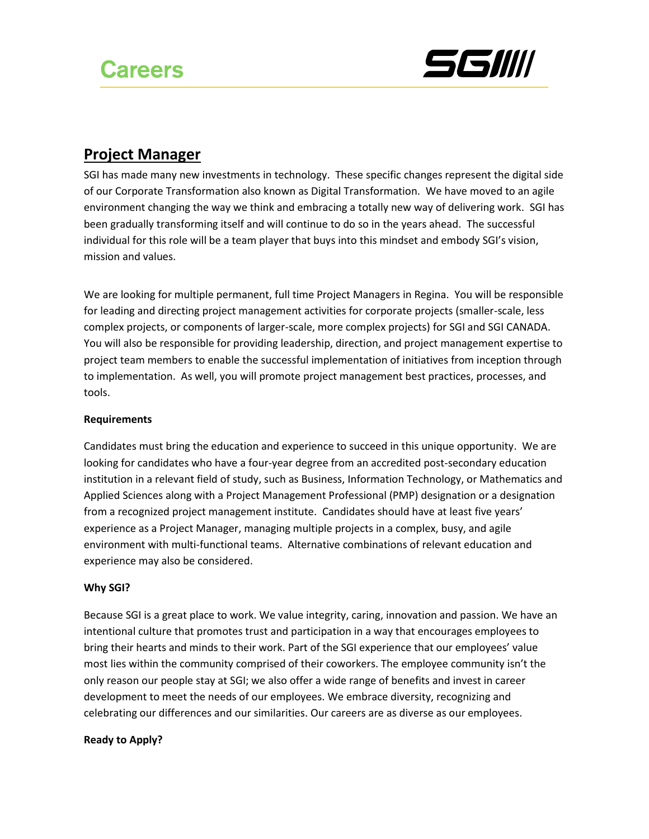

## **Project Manager**

SGI has made many new investments in technology. These specific changes represent the digital side of our Corporate Transformation also known as Digital Transformation. We have moved to an agile environment changing the way we think and embracing a totally new way of delivering work. SGI has been gradually transforming itself and will continue to do so in the years ahead. The successful individual for this role will be a team player that buys into this mindset and embody SGI's vision, mission and values.

We are looking for multiple permanent, full time Project Managers in Regina. You will be responsible for leading and directing project management activities for corporate projects (smaller-scale, less complex projects, or components of larger-scale, more complex projects) for SGI and SGI CANADA. You will also be responsible for providing leadership, direction, and project management expertise to project team members to enable the successful implementation of initiatives from inception through to implementation. As well, you will promote project management best practices, processes, and tools.

## **Requirements**

Candidates must bring the education and experience to succeed in this unique opportunity. We are looking for candidates who have a four-year degree from an accredited post-secondary education institution in a relevant field of study, such as Business, Information Technology, or Mathematics and Applied Sciences along with a Project Management Professional (PMP) designation or a designation from a recognized project management institute. Candidates should have at least five years' experience as a Project Manager, managing multiple projects in a complex, busy, and agile environment with multi-functional teams.Alternative combinations of relevant education and experience may also be considered.

## **Why SGI?**

Because SGI is a great place to work. We value integrity, caring, innovation and passion. We have an intentional culture that promotes trust and participation in a way that encourages employees to bring their hearts and minds to their work. Part of the SGI experience that our employees' value most lies within the community comprised of their coworkers. The employee community isn't the only reason our people stay at SGI; we also offer a wide range of benefits and invest in career development to meet the needs of our employees. We embrace diversity, recognizing and celebrating our differences and our similarities. Our careers are as diverse as our employees.

## **Ready to Apply?**